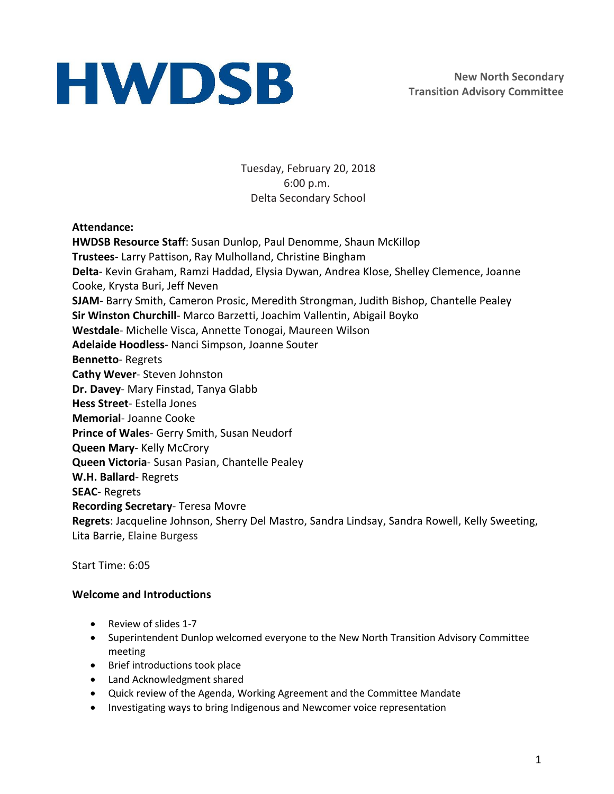Tuesday, February 20, 2018 6:00 p.m. Delta Secondary School

### **Attendance:**

**HWDSB Resource Staff**: Susan Dunlop, Paul Denomme, Shaun McKillop **Trustees**- Larry Pattison, Ray Mulholland, Christine Bingham **Delta**- Kevin Graham, Ramzi Haddad, Elysia Dywan, Andrea Klose, Shelley Clemence, Joanne Cooke, Krysta Buri, Jeff Neven **SJAM**- Barry Smith, Cameron Prosic, Meredith Strongman, Judith Bishop, Chantelle Pealey **Sir Winston Churchill**- Marco Barzetti, Joachim Vallentin, Abigail Boyko **Westdale**- Michelle Visca, Annette Tonogai, Maureen Wilson **Adelaide Hoodless**- Nanci Simpson, Joanne Souter **Bennetto**- Regrets **Cathy Wever**- Steven Johnston **Dr. Davey**- Mary Finstad, Tanya Glabb **Hess Street**- Estella Jones **Memorial**- Joanne Cooke **Prince of Wales**- Gerry Smith, Susan Neudorf **Queen Mary**- Kelly McCrory **Queen Victoria**- Susan Pasian, Chantelle Pealey **W.H. Ballard**- Regrets **SEAC**- Regrets **Recording Secretary**- Teresa Movre **Regrets**: Jacqueline Johnson, Sherry Del Mastro, Sandra Lindsay, Sandra Rowell, Kelly Sweeting, Lita Barrie, Elaine Burgess

Start Time: 6:05

### **Welcome and Introductions**

- Review of slides 1-7
- Superintendent Dunlop welcomed everyone to the New North Transition Advisory Committee meeting
- Brief introductions took place
- Land Acknowledgment shared
- Quick review of the Agenda, Working Agreement and the Committee Mandate
- Investigating ways to bring Indigenous and Newcomer voice representation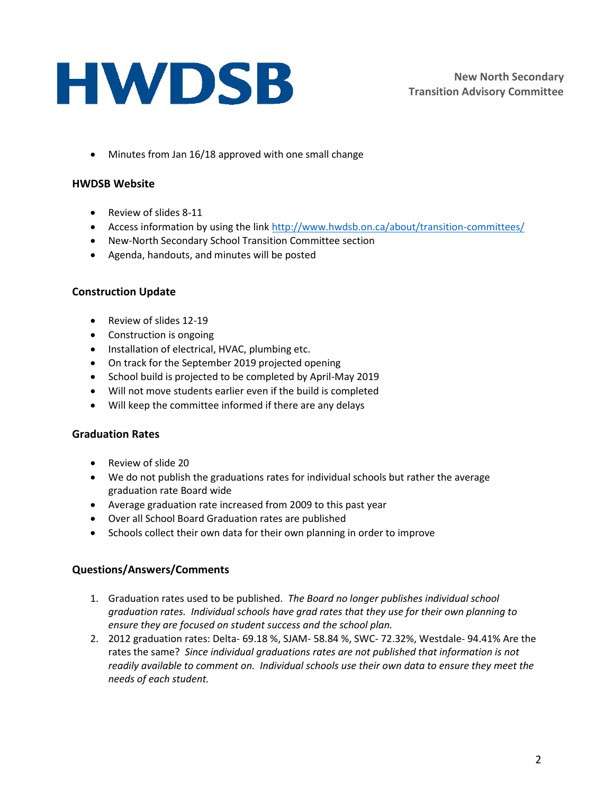Minutes from Jan 16/18 approved with one small change

### **HWDSB Website**

- Review of slides 8-11
- Access information by using the link<http://www.hwdsb.on.ca/about/transition-committees/>
- New-North Secondary School Transition Committee section
- Agenda, handouts, and minutes will be posted

### **Construction Update**

- Review of slides 12-19
- Construction is ongoing
- Installation of electrical, HVAC, plumbing etc.
- On track for the September 2019 projected opening
- School build is projected to be completed by April-May 2019
- Will not move students earlier even if the build is completed
- Will keep the committee informed if there are any delays

### **Graduation Rates**

- Review of slide 20
- We do not publish the graduations rates for individual schools but rather the average graduation rate Board wide
- Average graduation rate increased from 2009 to this past year
- Over all School Board Graduation rates are published
- Schools collect their own data for their own planning in order to improve

### **Questions/Answers/Comments**

- 1. Graduation rates used to be published. *The Board no longer publishes individual school graduation rates. Individual schools have grad rates that they use for their own planning to ensure they are focused on student success and the school plan.*
- 2. 2012 graduation rates: Delta- 69.18 %, SJAM- 58.84 %, SWC- 72.32%, Westdale- 94.41% Are the rates the same? *Since individual graduations rates are not published that information is not readily available to comment on. Individual schools use their own data to ensure they meet the needs of each student.*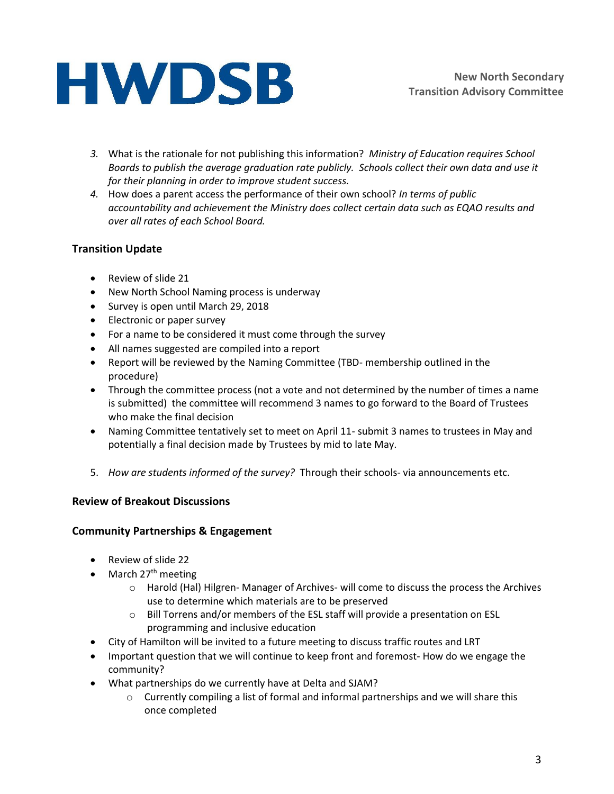- *3.* What is the rationale for not publishing this information? *Ministry of Education requires School Boards to publish the average graduation rate publicly. Schools collect their own data and use it for their planning in order to improve student success.*
- *4.* How does a parent access the performance of their own school? *In terms of public accountability and achievement the Ministry does collect certain data such as EQAO results and over all rates of each School Board.*

### **Transition Update**

- Review of slide 21
- New North School Naming process is underway
- Survey is open until March 29, 2018
- Electronic or paper survey
- For a name to be considered it must come through the survey
- All names suggested are compiled into a report
- Report will be reviewed by the Naming Committee (TBD- membership outlined in the procedure)
- Through the committee process (not a vote and not determined by the number of times a name is submitted) the committee will recommend 3 names to go forward to the Board of Trustees who make the final decision
- Naming Committee tentatively set to meet on April 11- submit 3 names to trustees in May and potentially a final decision made by Trustees by mid to late May.
- 5. *How are students informed of the survey?* Through their schools- via announcements etc.

### **Review of Breakout Discussions**

### **Community Partnerships & Engagement**

- Review of slide 22
- $\bullet$  March 27<sup>th</sup> meeting
	- o Harold (Hal) Hilgren- Manager of Archives- will come to discuss the process the Archives use to determine which materials are to be preserved
	- o Bill Torrens and/or members of the ESL staff will provide a presentation on ESL programming and inclusive education
- City of Hamilton will be invited to a future meeting to discuss traffic routes and LRT
- Important question that we will continue to keep front and foremost- How do we engage the community?
- What partnerships do we currently have at Delta and SJAM?
	- $\circ$  Currently compiling a list of formal and informal partnerships and we will share this once completed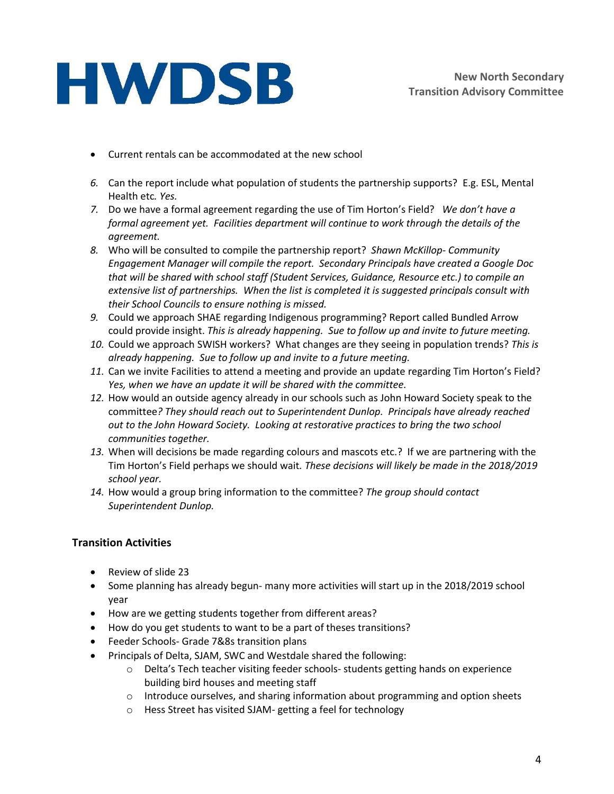- Current rentals can be accommodated at the new school
- *6.* Can the report include what population of students the partnership supports? E.g. ESL, Mental Health etc*. Yes.*
- *7.* Do we have a formal agreement regarding the use of Tim Horton's Field? *We don't have a formal agreement yet. Facilities department will continue to work through the details of the agreement.*
- *8.* Who will be consulted to compile the partnership report? *Shawn McKillop- Community Engagement Manager will compile the report. Secondary Principals have created a Google Doc that will be shared with school staff (Student Services, Guidance, Resource etc.) to compile an extensive list of partnerships. When the list is completed it is suggested principals consult with their School Councils to ensure nothing is missed.*
- *9.* Could we approach SHAE regarding Indigenous programming? Report called Bundled Arrow could provide insight. *This is already happening. Sue to follow up and invite to future meeting.*
- *10.* Could we approach SWISH workers? What changes are they seeing in population trends? *This is already happening. Sue to follow up and invite to a future meeting.*
- *11.* Can we invite Facilities to attend a meeting and provide an update regarding Tim Horton's Field? *Yes, when we have an update it will be shared with the committee.*
- *12.* How would an outside agency already in our schools such as John Howard Society speak to the committee*? They should reach out to Superintendent Dunlop. Principals have already reached out to the John Howard Society. Looking at restorative practices to bring the two school communities together.*
- *13.* When will decisions be made regarding colours and mascots etc.? If we are partnering with the Tim Horton's Field perhaps we should wait*. These decisions will likely be made in the 2018/2019 school year.*
- *14.* How would a group bring information to the committee? *The group should contact Superintendent Dunlop.*

### **Transition Activities**

- Review of slide 23
- Some planning has already begun- many more activities will start up in the 2018/2019 school year
- How are we getting students together from different areas?
- How do you get students to want to be a part of theses transitions?
- Feeder Schools- Grade 7&8s transition plans
- Principals of Delta, SJAM, SWC and Westdale shared the following:
	- $\circ$  Delta's Tech teacher visiting feeder schools- students getting hands on experience building bird houses and meeting staff
	- $\circ$  Introduce ourselves, and sharing information about programming and option sheets
	- o Hess Street has visited SJAM- getting a feel for technology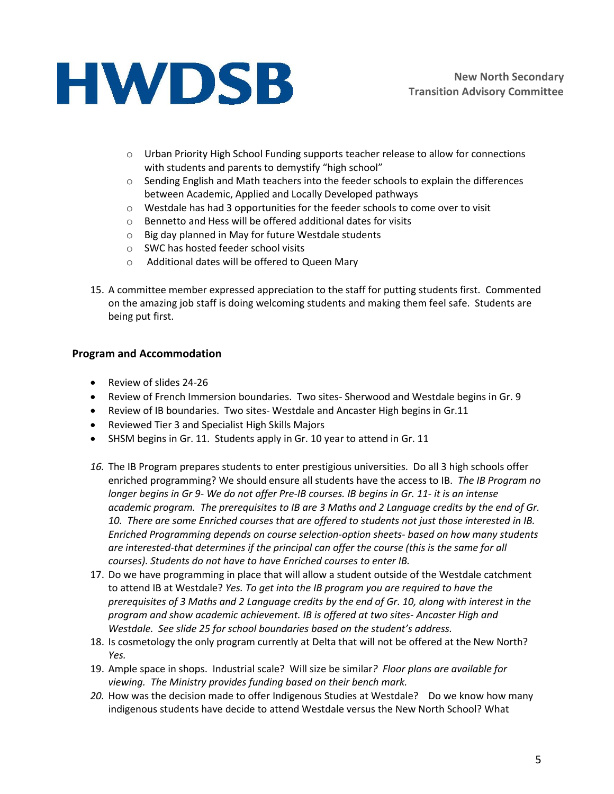

- o Urban Priority High School Funding supports teacher release to allow for connections with students and parents to demystify "high school"
- o Sending English and Math teachers into the feeder schools to explain the differences between Academic, Applied and Locally Developed pathways
- $\circ$  Westdale has had 3 opportunities for the feeder schools to come over to visit
- o Bennetto and Hess will be offered additional dates for visits
- o Big day planned in May for future Westdale students
- o SWC has hosted feeder school visits
- o Additional dates will be offered to Queen Mary
- 15. A committee member expressed appreciation to the staff for putting students first. Commented on the amazing job staff is doing welcoming students and making them feel safe. Students are being put first.

### **Program and Accommodation**

- Review of slides 24-26
- Review of French Immersion boundaries. Two sites- Sherwood and Westdale begins in Gr. 9
- Review of IB boundaries. Two sites-Westdale and Ancaster High begins in Gr.11
- Reviewed Tier 3 and Specialist High Skills Majors
- SHSM begins in Gr. 11. Students apply in Gr. 10 year to attend in Gr. 11
- *16.* The IB Program prepares students to enter prestigious universities. Do all 3 high schools offer enriched programming? We should ensure all students have the access to IB. *The IB Program no longer begins in Gr 9- We do not offer Pre-IB courses. IB begins in Gr. 11- it is an intense academic program. The prerequisites to IB are 3 Maths and 2 Language credits by the end of Gr. 10. There are some Enriched courses that are offered to students not just those interested in IB. Enriched Programming depends on course selection-option sheets- based on how many students are interested-that determines if the principal can offer the course (this is the same for all courses). Students do not have to have Enriched courses to enter IB.*
- 17. Do we have programming in place that will allow a student outside of the Westdale catchment to attend IB at Westdale? *Yes. To get into the IB program you are required to have the prerequisites of 3 Maths and 2 Language credits by the end of Gr. 10, along with interest in the program and show academic achievement. IB is offered at two sites- Ancaster High and Westdale. See slide 25 for school boundaries based on the student's address.*
- 18. Is cosmetology the only program currently at Delta that will not be offered at the New North? *Yes.*
- 19. Ample space in shops. Industrial scale? Will size be similar*? Floor plans are available for viewing. The Ministry provides funding based on their bench mark.*
- 20. How was the decision made to offer Indigenous Studies at Westdale? Do we know how many indigenous students have decide to attend Westdale versus the New North School? What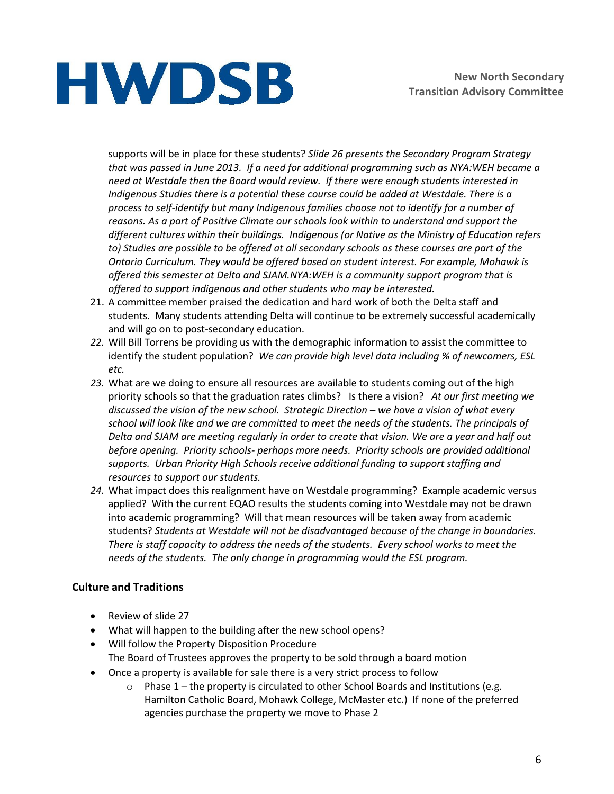supports will be in place for these students? *Slide 26 presents the Secondary Program Strategy that was passed in June 2013. If a need for additional programming such as NYA:WEH became a need at Westdale then the Board would review. If there were enough students interested in Indigenous Studies there is a potential these course could be added at Westdale. There is a process to self-identify but many Indigenous families choose not to identify for a number of reasons. As a part of Positive Climate our schools look within to understand and support the different cultures within their buildings. Indigenous (or Native as the Ministry of Education refers to) Studies are possible to be offered at all secondary schools as these courses are part of the Ontario Curriculum. They would be offered based on student interest. For example, Mohawk is offered this semester at Delta and SJAM.NYA:WEH is a community support program that is offered to support indigenous and other students who may be interested.*

- 21. A committee member praised the dedication and hard work of both the Delta staff and students. Many students attending Delta will continue to be extremely successful academically and will go on to post-secondary education.
- *22.* Will Bill Torrens be providing us with the demographic information to assist the committee to identify the student population? *We can provide high level data including % of newcomers, ESL etc.*
- *23.* What are we doing to ensure all resources are available to students coming out of the high priority schools so that the graduation rates climbs? Is there a vision? *At our first meeting we discussed the vision of the new school. Strategic Direction – we have a vision of what every school will look like and we are committed to meet the needs of the students. The principals of Delta and SJAM are meeting regularly in order to create that vision. We are a year and half out before opening. Priority schools- perhaps more needs. Priority schools are provided additional supports. Urban Priority High Schools receive additional funding to support staffing and resources to support our students.*
- *24.* What impact does this realignment have on Westdale programming? Example academic versus applied? With the current EQAO results the students coming into Westdale may not be drawn into academic programming? Will that mean resources will be taken away from academic students? *Students at Westdale will not be disadvantaged because of the change in boundaries. There is staff capacity to address the needs of the students. Every school works to meet the needs of the students. The only change in programming would the ESL program.*

### **Culture and Traditions**

- Review of slide 27
- What will happen to the building after the new school opens?
- Will follow the Property Disposition Procedure The Board of Trustees approves the property to be sold through a board motion
- Once a property is available for sale there is a very strict process to follow
	- o Phase 1 the property is circulated to other School Boards and Institutions (e.g. Hamilton Catholic Board, Mohawk College, McMaster etc.) If none of the preferred agencies purchase the property we move to Phase 2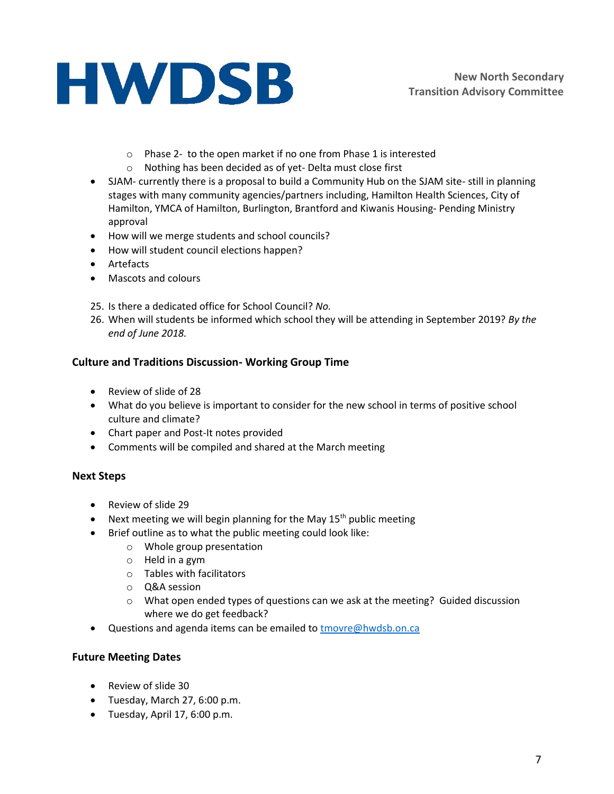- o Phase 2- to the open market if no one from Phase 1 is interested
- o Nothing has been decided as of yet- Delta must close first
- SJAM- currently there is a proposal to build a Community Hub on the SJAM site-still in planning stages with many community agencies/partners including, Hamilton Health Sciences, City of Hamilton, YMCA of Hamilton, Burlington, Brantford and Kiwanis Housing- Pending Ministry approval
- How will we merge students and school councils?
- How will student council elections happen?
- Artefacts
- Mascots and colours
- 25. Is there a dedicated office for School Council? *No.*
- 26. When will students be informed which school they will be attending in September 2019? *By the end of June 2018.*

### **Culture and Traditions Discussion- Working Group Time**

- Review of slide of 28
- What do you believe is important to consider for the new school in terms of positive school culture and climate?
- Chart paper and Post-It notes provided
- Comments will be compiled and shared at the March meeting

### **Next Steps**

- Review of slide 29
- Next meeting we will begin planning for the May  $15<sup>th</sup>$  public meeting
- Brief outline as to what the public meeting could look like:
	- o Whole group presentation
	- o Held in a gym
	- o Tables with facilitators
	- o Q&A session
	- $\circ$  What open ended types of questions can we ask at the meeting? Guided discussion where we do get feedback?
- Questions and agenda items can be emailed t[o tmovre@hwdsb.on.ca](mailto:tmovre@hwdsb.on.ca)

### **Future Meeting Dates**

- Review of slide 30
- Tuesday, March 27, 6:00 p.m.
- Tuesday, April 17, 6:00 p.m.